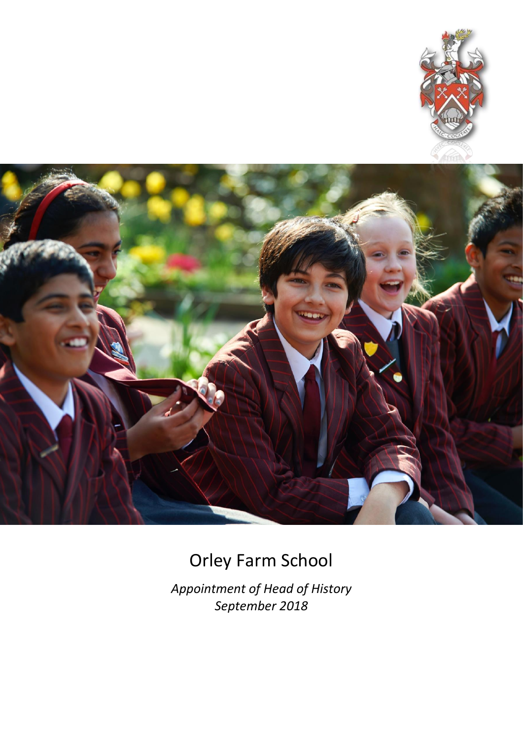



# Orley Farm School

*Appointment of Head of History September 2018*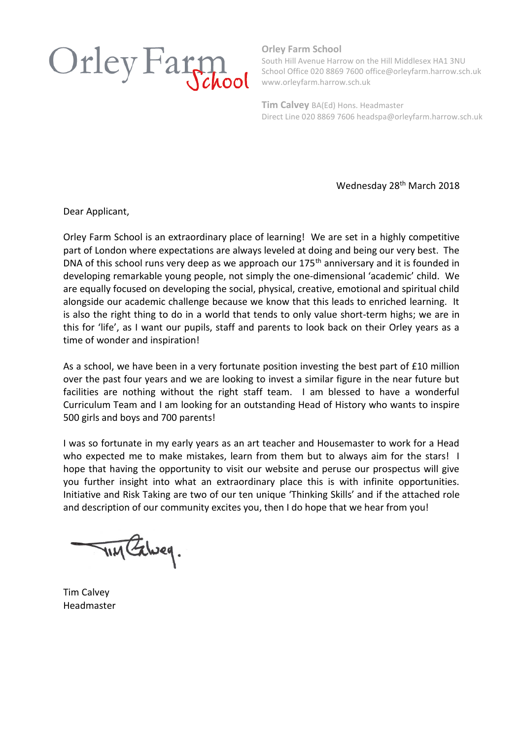

**Orley Farm School**

South Hill Avenue Harrow on the Hill Middlesex HA1 3NU School Office 020 8869 7600 office@orleyfarm.harrow.sch.uk www.orleyfarm.harrow.sch.uk

**Tim Calvey** BA(Ed) Hons. Headmaster Direct Line 020 8869 7606 headspa@orleyfarm.harrow.sch.uk

Wednesday 28<sup>th</sup> March 2018

Dear Applicant,

Orley Farm School is an extraordinary place of learning! We are set in a highly competitive part of London where expectations are always leveled at doing and being our very best. The DNA of this school runs very deep as we approach our 175<sup>th</sup> anniversary and it is founded in developing remarkable young people, not simply the one-dimensional 'academic' child. We are equally focused on developing the social, physical, creative, emotional and spiritual child alongside our academic challenge because we know that this leads to enriched learning. It is also the right thing to do in a world that tends to only value short-term highs; we are in this for 'life', as I want our pupils, staff and parents to look back on their Orley years as a time of wonder and inspiration!

As a school, we have been in a very fortunate position investing the best part of £10 million over the past four years and we are looking to invest a similar figure in the near future but facilities are nothing without the right staff team. I am blessed to have a wonderful Curriculum Team and I am looking for an outstanding Head of History who wants to inspire 500 girls and boys and 700 parents!

I was so fortunate in my early years as an art teacher and Housemaster to work for a Head who expected me to make mistakes, learn from them but to always aim for the stars! I hope that having the opportunity to visit our website and peruse our prospectus will give you further insight into what an extraordinary place this is with infinite opportunities. Initiative and Risk Taking are two of our ten unique 'Thinking Skills' and if the attached role and description of our community excites you, then I do hope that we hear from you!

TIM Exweg.

Tim Calvey Headmaster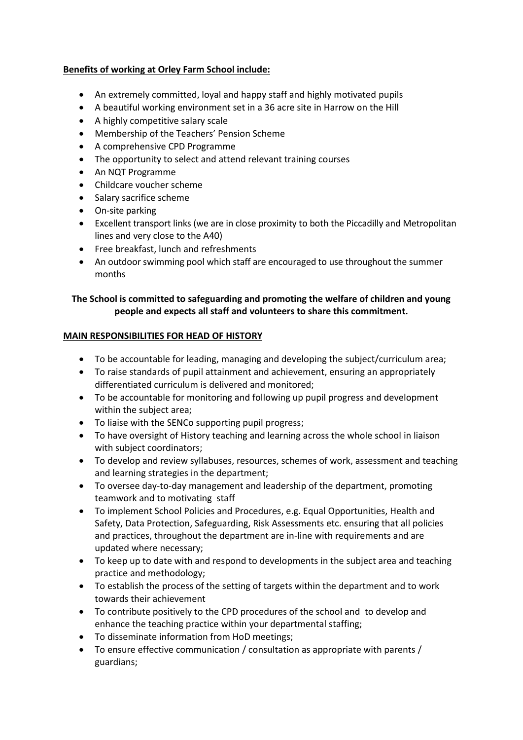## **Benefits of working at Orley Farm School include:**

- An extremely committed, loyal and happy staff and highly motivated pupils
- A beautiful working environment set in a 36 acre site in Harrow on the Hill
- A highly competitive salary scale
- Membership of the Teachers' Pension Scheme
- A comprehensive CPD Programme
- The opportunity to select and attend relevant training courses
- An NQT Programme
- Childcare voucher scheme
- Salary sacrifice scheme
- On-site parking
- Excellent transport links (we are in close proximity to both the Piccadilly and Metropolitan lines and very close to the A40)
- Free breakfast, lunch and refreshments
- An outdoor swimming pool which staff are encouraged to use throughout the summer months

## **The School is committed to safeguarding and promoting the welfare of children and young people and expects all staff and volunteers to share this commitment.**

#### **MAIN RESPONSIBILITIES FOR HEAD OF HISTORY**

- To be accountable for leading, managing and developing the subject/curriculum area;
- To raise standards of pupil attainment and achievement, ensuring an appropriately differentiated curriculum is delivered and monitored;
- To be accountable for monitoring and following up pupil progress and development within the subject area;
- To liaise with the SENCo supporting pupil progress;
- To have oversight of History teaching and learning across the whole school in liaison with subject coordinators;
- To develop and review syllabuses, resources, schemes of work, assessment and teaching and learning strategies in the department;
- To oversee day-to-day management and leadership of the department, promoting teamwork and to motivating staff
- To implement School Policies and Procedures, e.g. Equal Opportunities, Health and Safety, Data Protection, Safeguarding, Risk Assessments etc. ensuring that all policies and practices, throughout the department are in-line with requirements and are updated where necessary;
- To keep up to date with and respond to developments in the subject area and teaching practice and methodology;
- To establish the process of the setting of targets within the department and to work towards their achievement
- To contribute positively to the CPD procedures of the school and to develop and enhance the teaching practice within your departmental staffing;
- To disseminate information from HoD meetings;
- To ensure effective communication / consultation as appropriate with parents / guardians;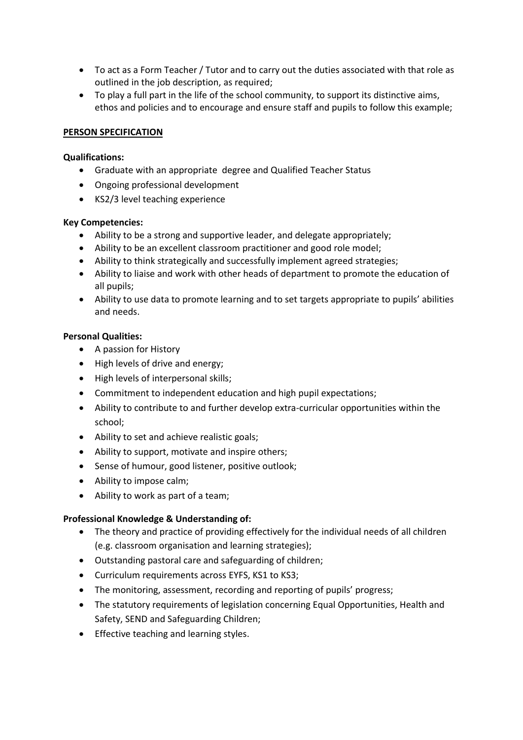- To act as a Form Teacher / Tutor and to carry out the duties associated with that role as outlined in the job description, as required;
- To play a full part in the life of the school community, to support its distinctive aims, ethos and policies and to encourage and ensure staff and pupils to follow this example;

#### **PERSON SPECIFICATION**

#### **Qualifications:**

- Graduate with an appropriate degree and Qualified Teacher Status
- Ongoing professional development
- KS2/3 level teaching experience

#### **Key Competencies:**

- Ability to be a strong and supportive leader, and delegate appropriately;
- Ability to be an excellent classroom practitioner and good role model;
- Ability to think strategically and successfully implement agreed strategies;
- Ability to liaise and work with other heads of department to promote the education of all pupils;
- Ability to use data to promote learning and to set targets appropriate to pupils' abilities and needs.

#### **Personal Qualities:**

- A passion for History
- High levels of drive and energy;
- High levels of interpersonal skills;
- Commitment to independent education and high pupil expectations;
- Ability to contribute to and further develop extra-curricular opportunities within the school;
- Ability to set and achieve realistic goals;
- Ability to support, motivate and inspire others;
- Sense of humour, good listener, positive outlook;
- Ability to impose calm;
- Ability to work as part of a team;

#### **Professional Knowledge & Understanding of:**

- The theory and practice of providing effectively for the individual needs of all children (e.g. classroom organisation and learning strategies);
- Outstanding pastoral care and safeguarding of children;
- Curriculum requirements across EYFS, KS1 to KS3;
- The monitoring, assessment, recording and reporting of pupils' progress;
- The statutory requirements of legislation concerning Equal Opportunities, Health and Safety, SEND and Safeguarding Children;
- **•** Effective teaching and learning styles.